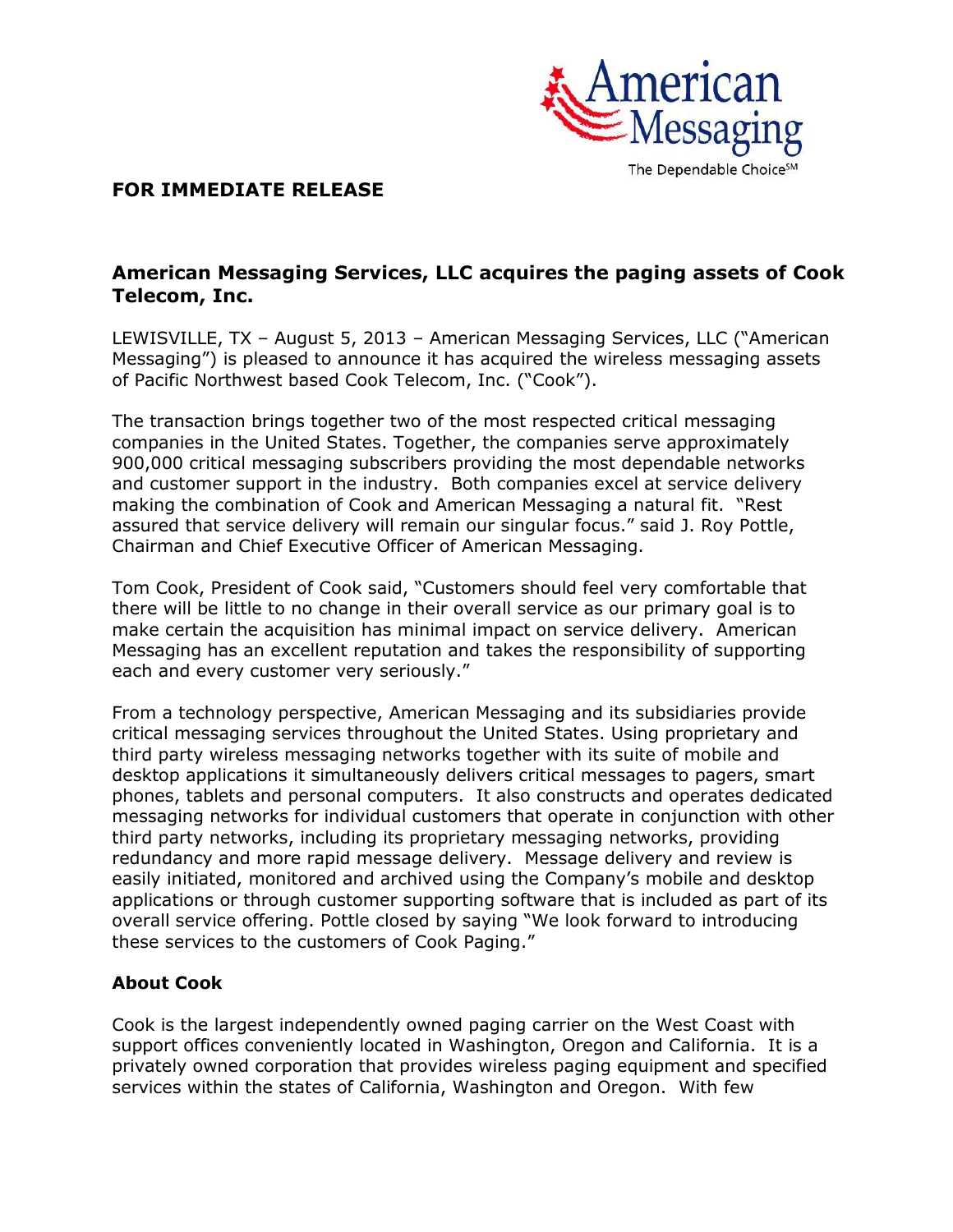

## **FOR IMMEDIATE RELEASE**

## **American Messaging Services, LLC acquires the paging assets of Cook Telecom, Inc.**

LEWISVILLE, TX – August 5, 2013 – American Messaging Services, LLC ("American Messaging") is pleased to announce it has acquired the wireless messaging assets of Pacific Northwest based Cook Telecom, Inc. ("Cook").

The transaction brings together two of the most respected critical messaging companies in the United States. Together, the companies serve approximately 900,000 critical messaging subscribers providing the most dependable networks and customer support in the industry. Both companies excel at service delivery making the combination of Cook and American Messaging a natural fit. "Rest assured that service delivery will remain our singular focus." said J. Roy Pottle, Chairman and Chief Executive Officer of American Messaging.

Tom Cook, President of Cook said, "Customers should feel very comfortable that there will be little to no change in their overall service as our primary goal is to make certain the acquisition has minimal impact on service delivery. American Messaging has an excellent reputation and takes the responsibility of supporting each and every customer very seriously."

From a technology perspective, American Messaging and its subsidiaries provide critical messaging services throughout the United States. Using proprietary and third party wireless messaging networks together with its suite of mobile and desktop applications it simultaneously delivers critical messages to pagers, smart phones, tablets and personal computers. It also constructs and operates dedicated messaging networks for individual customers that operate in conjunction with other third party networks, including its proprietary messaging networks, providing redundancy and more rapid message delivery. Message delivery and review is easily initiated, monitored and archived using the Company's mobile and desktop applications or through customer supporting software that is included as part of its overall service offering. Pottle closed by saying "We look forward to introducing these services to the customers of Cook Paging."

## **About Cook**

Cook is the largest independently owned paging carrier on the West Coast with support offices conveniently located in Washington, Oregon and California. It is a privately owned corporation that provides wireless paging equipment and specified services within the states of California, Washington and Oregon. With few